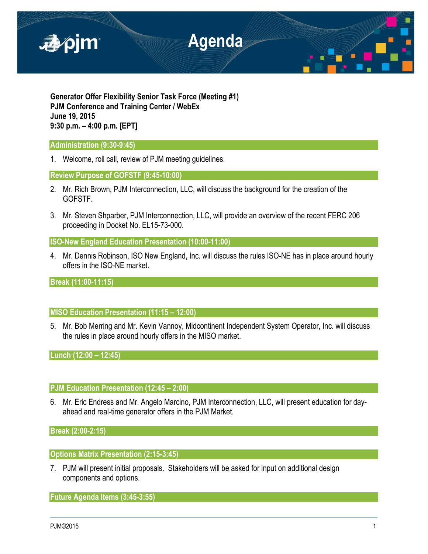

**Generator Offer Flexibility Senior Task Force (Meeting #1) PJM Conference and Training Center / WebEx June 19, 2015 9:30 p.m. – 4:00 p.m. [EPT]**

### **Administration (9:30-9:45)**

1. Welcome, roll call, review of PJM meeting guidelines.

### **Review Purpose of GOFSTF (9:45-10:00)**

- 2. Mr. Rich Brown, PJM Interconnection, LLC, will discuss the background for the creation of the GOFSTF.
- 3. Mr. Steven Shparber, PJM Interconnection, LLC, will provide an overview of the recent FERC 206 proceeding in Docket No. EL15-73-000.

# **ISO-New England Education Presentation (10:00-11:00)**

4. Mr. Dennis Robinson, ISO New England, Inc. will discuss the rules ISO-NE has in place around hourly offers in the ISO-NE market.

# **Break (11:00-11:15)**

# **MISO Education Presentation (11:15 – 12:00)**

5. Mr. Bob Merring and Mr. Kevin Vannoy, Midcontinent Independent System Operator, Inc. will discuss the rules in place around hourly offers in the MISO market.

**Lunch (12:00 – 12:45)**

#### **PJM Education Presentation (12:45 – 2:00)**

6. Mr. Eric Endress and Mr. Angelo Marcino, PJM Interconnection, LLC, will present education for dayahead and real-time generator offers in the PJM Market.

# **Break (2:00-2:15)**

# **Options Matrix Presentation (2:15-3:45)**

7. PJM will present initial proposals. Stakeholders will be asked for input on additional design components and options.

**Future Agenda Items (3:45-3:55)**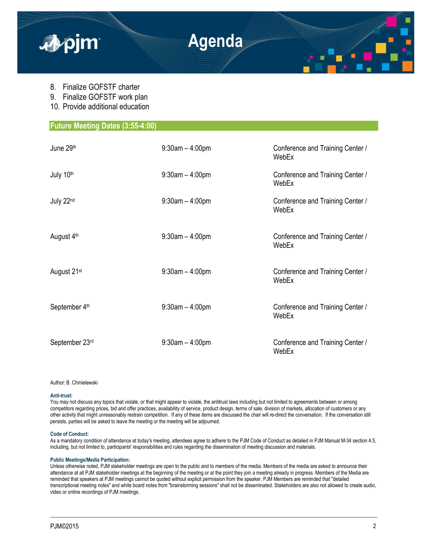

- 8. Finalize GOFSTF charter
- 9. Finalize GOFSTF work plan
- 10. Provide additional education

| <b>Future Meeting Dates (3:55-4:00)</b> |                      |                                           |  |
|-----------------------------------------|----------------------|-------------------------------------------|--|
|                                         |                      |                                           |  |
| June 29th                               | $9:30$ am $-4:00$ pm | Conference and Training Center /<br>WebEx |  |
| July 10th                               | $9:30$ am $-4:00$ pm | Conference and Training Center /<br>WebEx |  |
| July 22nd                               | $9:30$ am $-4:00$ pm | Conference and Training Center /<br>WebEx |  |
| August 4 <sup>th</sup>                  | $9:30$ am $-4:00$ pm | Conference and Training Center /<br>WebEx |  |
| August 21 <sup>st</sup>                 | $9:30$ am $-4:00$ pm | Conference and Training Center /<br>WebEx |  |
| September 4th                           | $9:30am - 4:00pm$    | Conference and Training Center /<br>WebEx |  |
| September 23rd                          | $9:30$ am $-4:00$ pm | Conference and Training Center /<br>WebEx |  |

Author: B. Chmielewski

#### **Anti-trust:**

You may not discuss any topics that violate, or that might appear to violate, the antitrust laws including but not limited to agreements between or among competitors regarding prices, bid and offer practices, availability of service, product design, terms of sale, division of markets, allocation of customers or any other activity that might unreasonably restrain competition. If any of these items are discussed the chair will re-direct the conversation. If the conversation still persists, parties will be asked to leave the meeting or the meeting will be adjourned.

#### **Code of Conduct:**

As a mandatory condition of attendance at today's meeting, attendees agree to adhere to the PJM Code of Conduct as detailed in PJM Manual M-34 section 4.5, including, but not limited to, participants' responsibilities and rules regarding the dissemination of meeting discussion and materials.

#### **Public Meetings/Media Participation:**

Unless otherwise noted, PJM stakeholder meetings are open to the public and to members of the media. Members of the media are asked to announce their attendance at all PJM stakeholder meetings at the beginning of the meeting or at the point they join a meeting already in progress. Members of the Media are reminded that speakers at PJM meetings cannot be quoted without explicit permission from the speaker. PJM Members are reminded that "detailed transcriptional meeting notes" and white board notes from "brainstorming sessions" shall not be disseminated. Stakeholders are also not allowed to create audio, video or online recordings of PJM meetings.